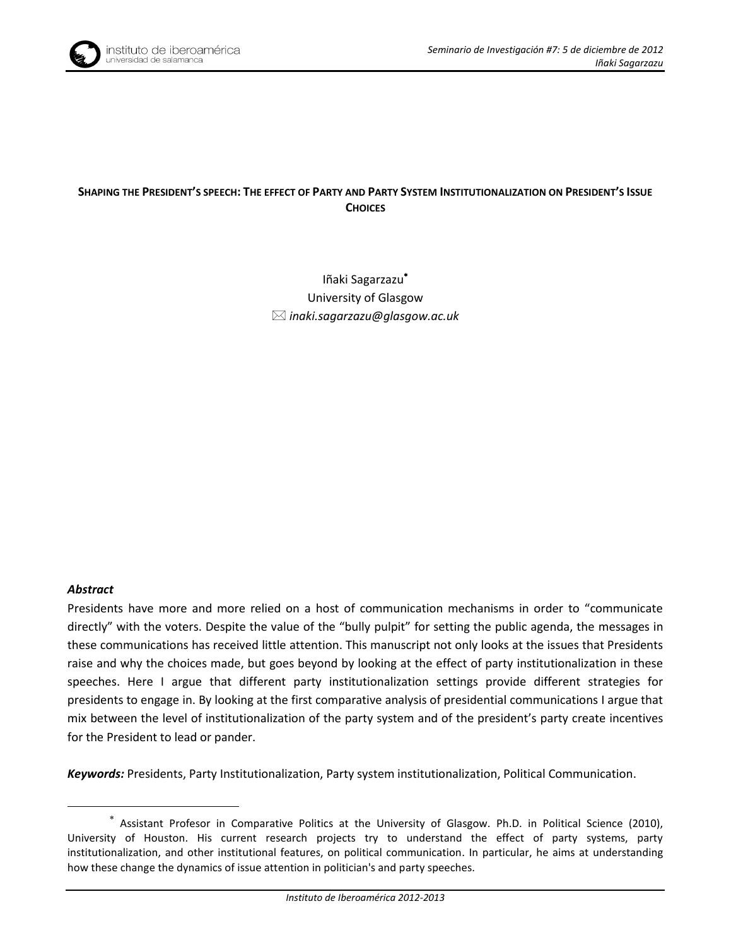

## SHAPING THE PRESIDENT'S SPEECH: THE EFFECT OF PARTY AND PARTY SYSTEM INSTITUTIONALIZATION ON PRESIDENT'S ISSUE **CHOICES**

Iñaki Sagarzazu University of Glasgow *inaki.sagarzazu@glasgow.ac.uk* 

#### *Abstract*

1

Presidents have more and more relied on a host of communication mechanisms in order to "communicate directly" with the voters. Despite the value of the "bully pulpit" for setting the public agenda, the messages in these communications has received little attention. This manuscript not only looks at the issues that Presidents raise and why the choices made, but goes beyond by looking at the effect of party institutionalization in these speeches. Here I argue that different party institutionalization settings provide different strategies for presidents to engage in. By looking at the first comparative analysis of presidential communications I argue that mix between the level of institutionalization of the party system and of the president's party create incentives for the President to lead or pander.

*Keywords:* Presidents, Party Institutionalization, Party system institutionalization, Political Communication.

Assistant Profesor in Comparative Politics at the University of Glasgow. Ph.D. in Political Science (2010), University of Houston. His current research projects try to understand the effect of party systems, party institutionalization, and other institutional features, on political communication. In particular, he aims at understanding how these change the dynamics of issue attention in politician's and party speeches.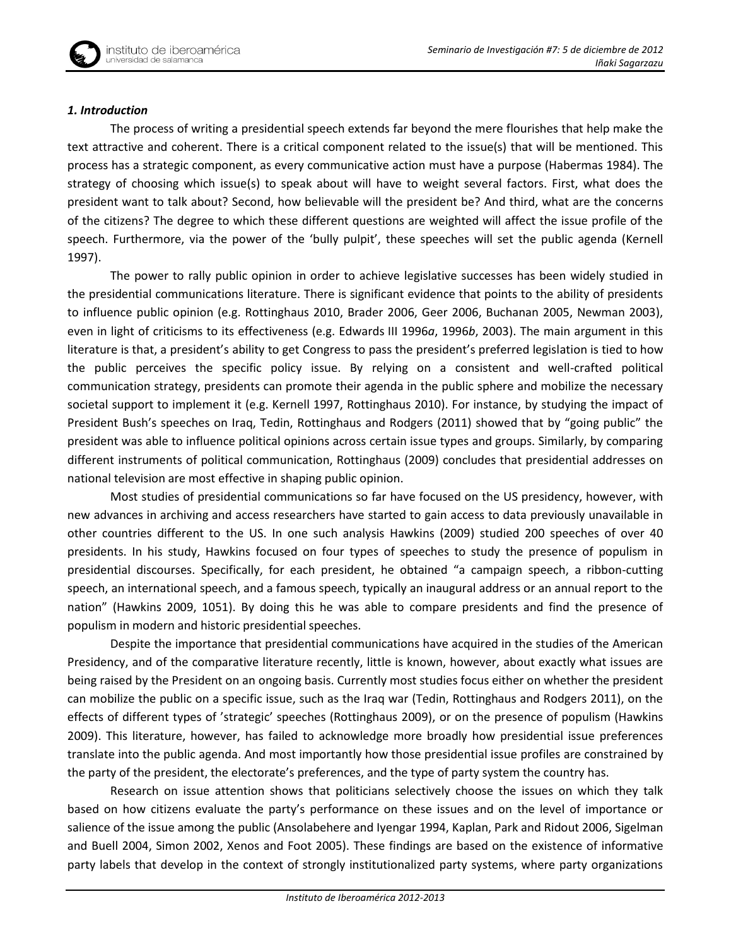### *1. Introduction*

The process of writing a presidential speech extends far beyond the mere flourishes that help make the text attractive and coherent. There is a critical component related to the issue(s) that will be mentioned. This process has a strategic component, as every communicative action must have a purpose (Habermas 1984). The strategy of choosing which issue(s) to speak about will have to weight several factors. First, what does the president want to talk about? Second, how believable will the president be? And third, what are the concerns of the citizens? The degree to which these different questions are weighted will affect the issue profile of the speech. Furthermore, via the power of the 'bully pulpit', these speeches will set the public agenda (Kernell 1997).

The power to rally public opinion in order to achieve legislative successes has been widely studied in the presidential communications literature. There is significant evidence that points to the ability of presidents to influence public opinion (e.g. Rottinghaus 2010, Brader 2006, Geer 2006, Buchanan 2005, Newman 2003), even in light of criticisms to its effectiveness (e.g. Edwards III 1996*a*, 1996*b*, 2003). The main argument in this literature is that, a president's ability to get Congress to pass the president's preferred legislation is tied to how the public perceives the specific policy issue. By relying on a consistent and well-crafted political communication strategy, presidents can promote their agenda in the public sphere and mobilize the necessary societal support to implement it (e.g. Kernell 1997, Rottinghaus 2010). For instance, by studying the impact of President Bush's speeches on Iraq, Tedin, Rottinghaus and Rodgers (2011) showed that by "going public" the president was able to influence political opinions across certain issue types and groups. Similarly, by comparing different instruments of political communication, Rottinghaus (2009) concludes that presidential addresses on national television are most effective in shaping public opinion.

Most studies of presidential communications so far have focused on the US presidency, however, with new advances in archiving and access researchers have started to gain access to data previously unavailable in other countries different to the US. In one such analysis Hawkins (2009) studied 200 speeches of over 40 presidents. In his study, Hawkins focused on four types of speeches to study the presence of populism in presidential discourses. Specifically, for each president, he obtained "a campaign speech, a ribbon-cutting speech, an international speech, and a famous speech, typically an inaugural address or an annual report to the nation" (Hawkins 2009, 1051). By doing this he was able to compare presidents and find the presence of populism in modern and historic presidential speeches.

Despite the importance that presidential communications have acquired in the studies of the American Presidency, and of the comparative literature recently, little is known, however, about exactly what issues are being raised by the President on an ongoing basis. Currently most studies focus either on whether the president can mobilize the public on a specific issue, such as the Iraq war (Tedin, Rottinghaus and Rodgers 2011), on the effects of different types of 'strategic' speeches (Rottinghaus 2009), or on the presence of populism (Hawkins 2009). This literature, however, has failed to acknowledge more broadly how presidential issue preferences translate into the public agenda. And most importantly how those presidential issue profiles are constrained by the party of the president, the electorate's preferences, and the type of party system the country has.

Research on issue attention shows that politicians selectively choose the issues on which they talk based on how citizens evaluate the party's performance on these issues and on the level of importance or salience of the issue among the public (Ansolabehere and Iyengar 1994, Kaplan, Park and Ridout 2006, Sigelman and Buell 2004, Simon 2002, Xenos and Foot 2005). These findings are based on the existence of informative party labels that develop in the context of strongly institutionalized party systems, where party organizations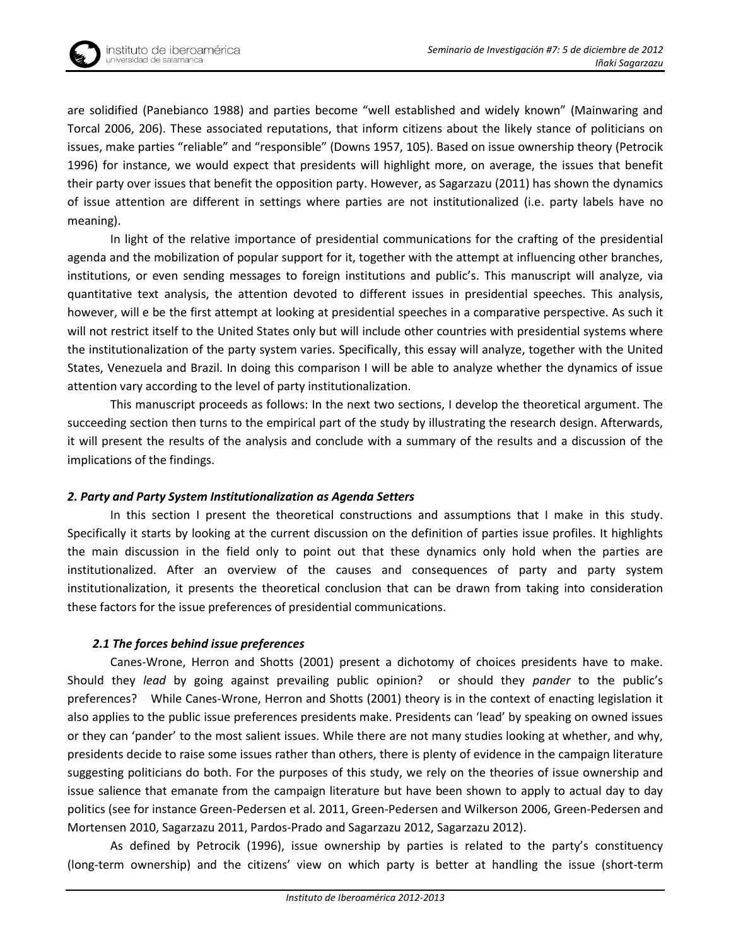

are solidified (Panebianco 1988) and parties become "well established and widely known" (Mainwaring and Torcal 2006, 206). These associated reputations, that inform citizens about the likely stance of politicians on issues, make parties "reliable" and "responsible" (Downs 1957, 105). Based on issue ownership theory (Petrocik 1996) for instance, we would expect that presidents will highlight more, on average, the issues that benefit their party over issues that benefit the opposition party. However, as Sagarzazu (2011) has shown the dynamics of issue attention are different in settings where parties are not institutionalized (i.e. party labels have no meaning).

In light of the relative importance of presidential communications for the crafting of the presidential agenda and the mobilization of popular support for it, together with the attempt at influencing other branches, institutions, or even sending messages to foreign institutions and public's. This manuscript will analyze, via quantitative text analysis, the attention devoted to different issues in presidential speeches. This analysis, however, will e be the first attempt at looking at presidential speeches in a comparative perspective. As such it will not restrict itself to the United States only but will include other countries with presidential systems where the institutionalization of the party system varies. Specifically, this essay will analyze, together with the United States, Venezuela and Brazil. In doing this comparison I will be able to analyze whether the dynamics of issue attention vary according to the level of party institutionalization.

This manuscript proceeds as follows: In the next two sections, I develop the theoretical argument. The succeeding section then turns to the empirical part of the study by illustrating the research design. Afterwards, it will present the results of the analysis and conclude with a summary of the results and a discussion of the implications of the findings.

## *2. Party and Party System Institutionalization as Agenda Setters*

In this section I present the theoretical constructions and assumptions that I make in this study. Specifically it starts by looking at the current discussion on the definition of parties issue profiles. It highlights the main discussion in the field only to point out that these dynamics only hold when the parties are institutionalized. After an overview of the causes and consequences of party and party system institutionalization, it presents the theoretical conclusion that can be drawn from taking into consideration these factors for the issue preferences of presidential communications.

## *2.1 The forces behind issue preferences*

Canes-Wrone, Herron and Shotts (2001) present a dichotomy of choices presidents have to make. Should they *lead* by going against prevailing public opinion? or should they *pander* to the public's preferences? While Canes-Wrone, Herron and Shotts (2001) theory is in the context of enacting legislation it also applies to the public issue preferences presidents make. Presidents can 'lead' by speaking on owned issues or they can 'pander' to the most salient issues. While there are not many studies looking at whether, and why, presidents decide to raise some issues rather than others, there is plenty of evidence in the campaign literature suggesting politicians do both. For the purposes of this study, we rely on the theories of issue ownership and issue salience that emanate from the campaign literature but have been shown to apply to actual day to day politics (see for instance Green-Pedersen et al. 2011, Green-Pedersen and Wilkerson 2006, Green-Pedersen and Mortensen 2010, Sagarzazu 2011, Pardos-Prado and Sagarzazu 2012, Sagarzazu 2012).

As defined by Petrocik (1996), issue ownership by parties is related to the party's constituency (long-term ownership) and the citizens' view on which party is better at handling the issue (short-term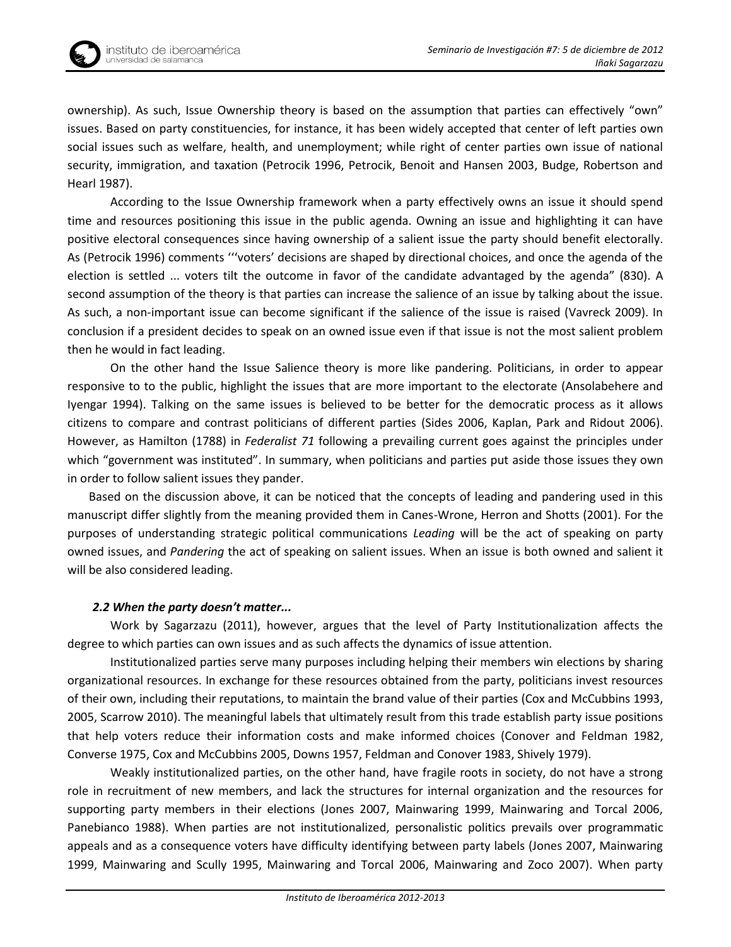

ownership). As such, Issue Ownership theory is based on the assumption that parties can effectively "own" issues. Based on party constituencies, for instance, it has been widely accepted that center of left parties own social issues such as welfare, health, and unemployment; while right of center parties own issue of national security, immigration, and taxation (Petrocik 1996, Petrocik, Benoit and Hansen 2003, Budge, Robertson and Hearl 1987).

According to the Issue Ownership framework when a party effectively owns an issue it should spend time and resources positioning this issue in the public agenda. Owning an issue and highlighting it can have positive electoral consequences since having ownership of a salient issue the party should benefit electorally. As (Petrocik 1996) comments '''voters' decisions are shaped by directional choices, and once the agenda of the election is settled ... voters tilt the outcome in favor of the candidate advantaged by the agenda" (830). A second assumption of the theory is that parties can increase the salience of an issue by talking about the issue. As such, a non-important issue can become significant if the salience of the issue is raised (Vavreck 2009). In conclusion if a president decides to speak on an owned issue even if that issue is not the most salient problem then he would in fact leading.

On the other hand the Issue Salience theory is more like pandering. Politicians, in order to appear responsive to to the public, highlight the issues that are more important to the electorate (Ansolabehere and Iyengar 1994). Talking on the same issues is believed to be better for the democratic process as it allows citizens to compare and contrast politicians of different parties (Sides 2006, Kaplan, Park and Ridout 2006). However, as Hamilton (1788) in *Federalist 71* following a prevailing current goes against the principles under which "government was instituted". In summary, when politicians and parties put aside those issues they own in order to follow salient issues they pander.

Based on the discussion above, it can be noticed that the concepts of leading and pandering used in this manuscript differ slightly from the meaning provided them in Canes-Wrone, Herron and Shotts (2001). For the purposes of understanding strategic political communications *Leading* will be the act of speaking on party owned issues, and *Pandering* the act of speaking on salient issues. When an issue is both owned and salient it will be also considered leading.

## *2.2 When the party doesn't matter...*

Work by Sagarzazu (2011), however, argues that the level of Party Institutionalization affects the degree to which parties can own issues and as such affects the dynamics of issue attention.

Institutionalized parties serve many purposes including helping their members win elections by sharing organizational resources. In exchange for these resources obtained from the party, politicians invest resources of their own, including their reputations, to maintain the brand value of their parties (Cox and McCubbins 1993, 2005, Scarrow 2010). The meaningful labels that ultimately result from this trade establish party issue positions that help voters reduce their information costs and make informed choices (Conover and Feldman 1982, Converse 1975, Cox and McCubbins 2005, Downs 1957, Feldman and Conover 1983, Shively 1979).

Weakly institutionalized parties, on the other hand, have fragile roots in society, do not have a strong role in recruitment of new members, and lack the structures for internal organization and the resources for supporting party members in their elections (Jones 2007, Mainwaring 1999, Mainwaring and Torcal 2006, Panebianco 1988). When parties are not institutionalized, personalistic politics prevails over programmatic appeals and as a consequence voters have difficulty identifying between party labels (Jones 2007, Mainwaring 1999, Mainwaring and Scully 1995, Mainwaring and Torcal 2006, Mainwaring and Zoco 2007). When party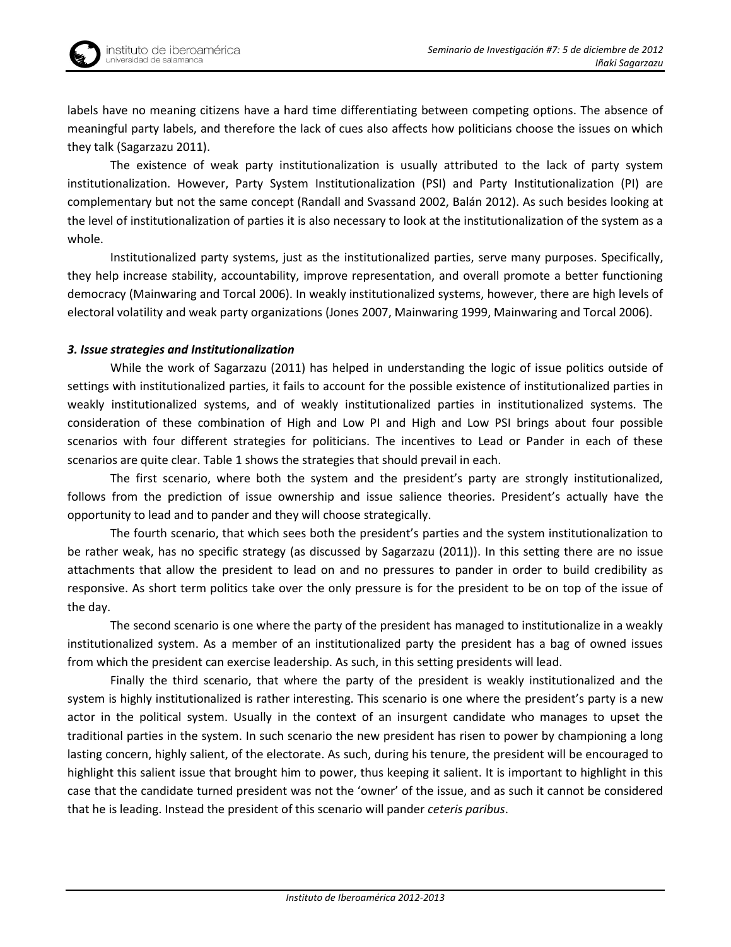labels have no meaning citizens have a hard time differentiating between competing options. The absence of meaningful party labels, and therefore the lack of cues also affects how politicians choose the issues on which they talk (Sagarzazu 2011).

The existence of weak party institutionalization is usually attributed to the lack of party system institutionalization. However, Party System Institutionalization (PSI) and Party Institutionalization (PI) are complementary but not the same concept (Randall and Svassand 2002, Balán 2012). As such besides looking at the level of institutionalization of parties it is also necessary to look at the institutionalization of the system as a whole.

Institutionalized party systems, just as the institutionalized parties, serve many purposes. Specifically, they help increase stability, accountability, improve representation, and overall promote a better functioning democracy (Mainwaring and Torcal 2006). In weakly institutionalized systems, however, there are high levels of electoral volatility and weak party organizations (Jones 2007, Mainwaring 1999, Mainwaring and Torcal 2006).

### *3. Issue strategies and Institutionalization*

While the work of Sagarzazu (2011) has helped in understanding the logic of issue politics outside of settings with institutionalized parties, it fails to account for the possible existence of institutionalized parties in weakly institutionalized systems, and of weakly institutionalized parties in institutionalized systems. The consideration of these combination of High and Low PI and High and Low PSI brings about four possible scenarios with four different strategies for politicians. The incentives to Lead or Pander in each of these scenarios are quite clear. Table 1 shows the strategies that should prevail in each.

The first scenario, where both the system and the president's party are strongly institutionalized, follows from the prediction of issue ownership and issue salience theories. President's actually have the opportunity to lead and to pander and they will choose strategically.

The fourth scenario, that which sees both the president's parties and the system institutionalization to be rather weak, has no specific strategy (as discussed by Sagarzazu (2011)). In this setting there are no issue attachments that allow the president to lead on and no pressures to pander in order to build credibility as responsive. As short term politics take over the only pressure is for the president to be on top of the issue of the day.

The second scenario is one where the party of the president has managed to institutionalize in a weakly institutionalized system. As a member of an institutionalized party the president has a bag of owned issues from which the president can exercise leadership. As such, in this setting presidents will lead.

Finally the third scenario, that where the party of the president is weakly institutionalized and the system is highly institutionalized is rather interesting. This scenario is one where the president's party is a new actor in the political system. Usually in the context of an insurgent candidate who manages to upset the traditional parties in the system. In such scenario the new president has risen to power by championing a long lasting concern, highly salient, of the electorate. As such, during his tenure, the president will be encouraged to highlight this salient issue that brought him to power, thus keeping it salient. It is important to highlight in this case that the candidate turned president was not the 'owner' of the issue, and as such it cannot be considered that he is leading. Instead the president of this scenario will pander *ceteris paribus*.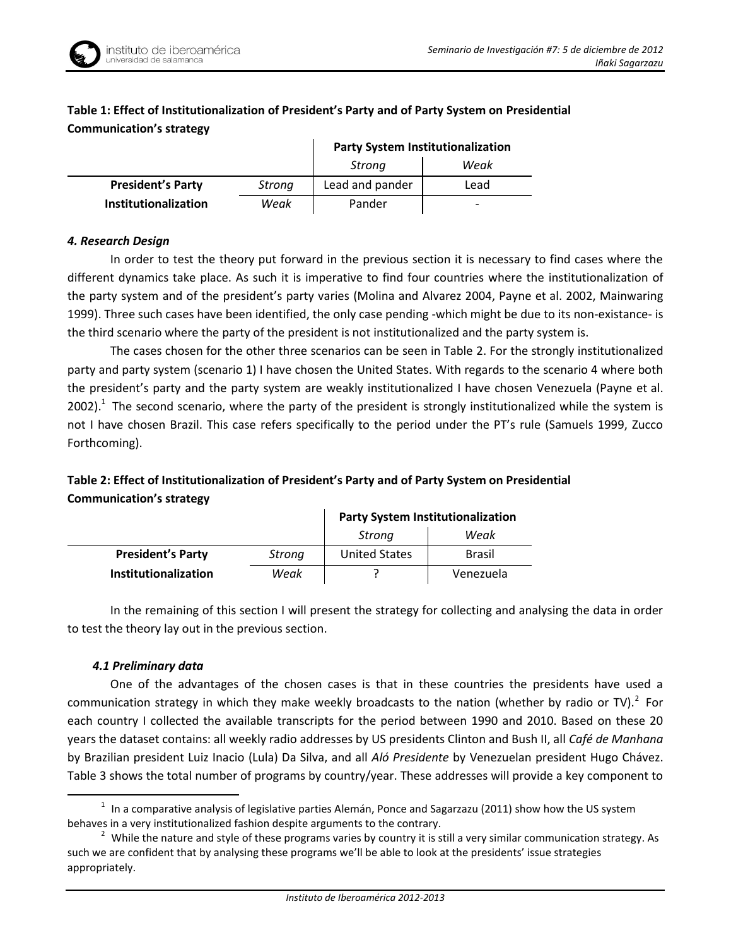

|                          |        | <b>Party System Institutionalization</b> |      |  |
|--------------------------|--------|------------------------------------------|------|--|
|                          |        | Weak<br>Strona                           |      |  |
| <b>President's Party</b> | Strong | Lead and pander                          | Lead |  |
| Institutionalization     | Weak   | Pander                                   | -    |  |

# **Table 1: Effect of Institutionalization of President's Party and of Party System on Presidential Communication's strategy**

## *4. Research Design*

In order to test the theory put forward in the previous section it is necessary to find cases where the different dynamics take place. As such it is imperative to find four countries where the institutionalization of the party system and of the president's party varies (Molina and Alvarez 2004, Payne et al. 2002, Mainwaring 1999). Three such cases have been identified, the only case pending -which might be due to its non-existance- is the third scenario where the party of the president is not institutionalized and the party system is.

The cases chosen for the other three scenarios can be seen in Table 2. For the strongly institutionalized party and party system (scenario 1) I have chosen the United States. With regards to the scenario 4 where both the president's party and the party system are weakly institutionalized I have chosen Venezuela (Payne et al. 2002). $1$  The second scenario, where the party of the president is strongly institutionalized while the system is not I have chosen Brazil. This case refers specifically to the period under the PT's rule (Samuels 1999, Zucco Forthcoming).

# **Table 2: Effect of Institutionalization of President's Party and of Party System on Presidential Communication's strategy**

|                          |        | <b>Party System Institutionalization</b> |               |  |
|--------------------------|--------|------------------------------------------|---------------|--|
|                          |        | Weak<br>Strona                           |               |  |
| <b>President's Party</b> | Strong | <b>United States</b>                     | <b>Brasil</b> |  |
| Institutionalization     | Weak   |                                          | Venezuela     |  |

In the remaining of this section I will present the strategy for collecting and analysing the data in order to test the theory lay out in the previous section.

## *4.1 Preliminary data*

<u>.</u>

One of the advantages of the chosen cases is that in these countries the presidents have used a communication strategy in which they make weekly broadcasts to the nation (whether by radio or TV).<sup>2</sup> For each country I collected the available transcripts for the period between 1990 and 2010. Based on these 20 years the dataset contains: all weekly radio addresses by US presidents Clinton and Bush II, all *Café de Manhana* by Brazilian president Luiz Inacio (Lula) Da Silva, and all *Aló Presidente* by Venezuelan president Hugo Chávez. Table 3 shows the total number of programs by country/year. These addresses will provide a key component to

 $1$  In a comparative analysis of legislative parties Alemán, Ponce and Sagarzazu (2011) show how the US system behaves in a very institutionalized fashion despite arguments to the contrary.

<sup>&</sup>lt;sup>2</sup> While the nature and style of these programs varies by country it is still a very similar communication strategy. As such we are confident that by analysing these programs we'll be able to look at the presidents' issue strategies appropriately.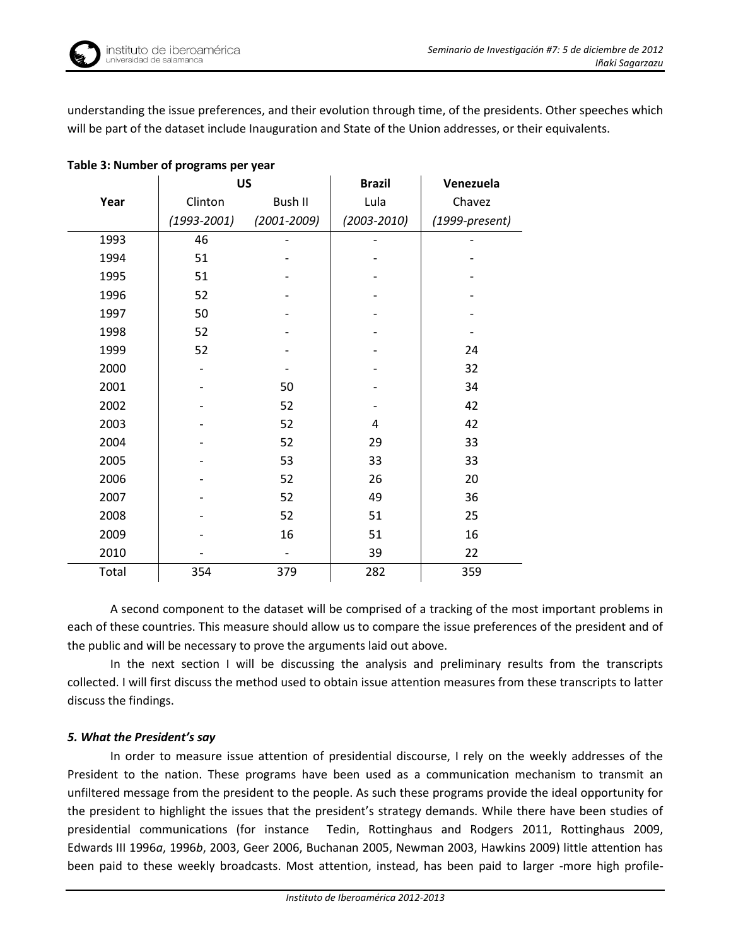understanding the issue preferences, and their evolution through time, of the presidents. Other speeches which will be part of the dataset include Inauguration and State of the Union addresses, or their equivalents.

|       | <b>US</b>       |                 | <b>Brazil</b>   | Venezuela        |
|-------|-----------------|-----------------|-----------------|------------------|
| Year  | Clinton         | <b>Bush II</b>  | Lula            | Chavez           |
|       | $(1993 - 2001)$ | $(2001 - 2009)$ | $(2003 - 2010)$ | $(1999-present)$ |
| 1993  | 46              |                 |                 |                  |
| 1994  | 51              |                 |                 |                  |
| 1995  | 51              |                 |                 |                  |
| 1996  | 52              |                 |                 |                  |
| 1997  | 50              |                 |                 |                  |
| 1998  | 52              |                 |                 |                  |
| 1999  | 52              |                 |                 | 24               |
| 2000  |                 |                 |                 | 32               |
| 2001  |                 | 50              |                 | 34               |
| 2002  |                 | 52              |                 | 42               |
| 2003  |                 | 52              | 4               | 42               |
| 2004  |                 | 52              | 29              | 33               |
| 2005  |                 | 53              | 33              | 33               |
| 2006  |                 | 52              | 26              | 20               |
| 2007  |                 | 52              | 49              | 36               |
| 2008  |                 | 52              | 51              | 25               |
| 2009  |                 | 16              | 51              | 16               |
| 2010  |                 |                 | 39              | 22               |
| Total | 354             | 379             | 282             | 359              |

### **Table 3: Number of programs per year**

A second component to the dataset will be comprised of a tracking of the most important problems in each of these countries. This measure should allow us to compare the issue preferences of the president and of the public and will be necessary to prove the arguments laid out above.

In the next section I will be discussing the analysis and preliminary results from the transcripts collected. I will first discuss the method used to obtain issue attention measures from these transcripts to latter discuss the findings.

## *5. What the President's say*

In order to measure issue attention of presidential discourse, I rely on the weekly addresses of the President to the nation. These programs have been used as a communication mechanism to transmit an unfiltered message from the president to the people. As such these programs provide the ideal opportunity for the president to highlight the issues that the president's strategy demands. While there have been studies of presidential communications (for instance Tedin, Rottinghaus and Rodgers 2011, Rottinghaus 2009, Edwards III 1996*a*, 1996*b*, 2003, Geer 2006, Buchanan 2005, Newman 2003, Hawkins 2009) little attention has been paid to these weekly broadcasts. Most attention, instead, has been paid to larger -more high profile-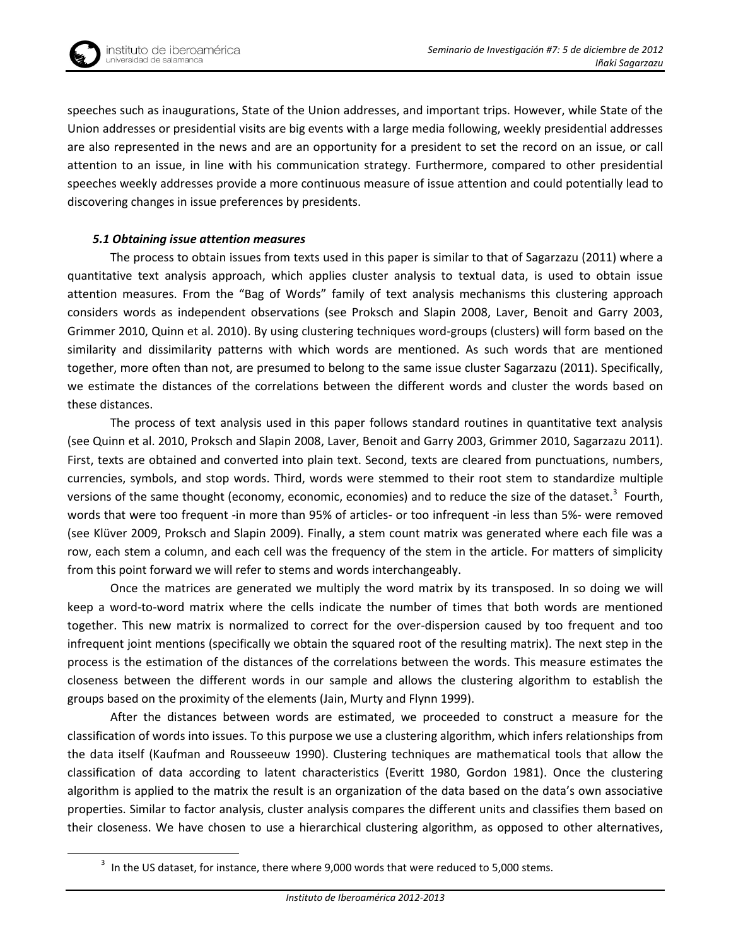

1

speeches such as inaugurations, State of the Union addresses, and important trips. However, while State of the Union addresses or presidential visits are big events with a large media following, weekly presidential addresses are also represented in the news and are an opportunity for a president to set the record on an issue, or call attention to an issue, in line with his communication strategy. Furthermore, compared to other presidential speeches weekly addresses provide a more continuous measure of issue attention and could potentially lead to discovering changes in issue preferences by presidents.

### *5.1 Obtaining issue attention measures*

The process to obtain issues from texts used in this paper is similar to that of Sagarzazu (2011) where a quantitative text analysis approach, which applies cluster analysis to textual data, is used to obtain issue attention measures. From the "Bag of Words" family of text analysis mechanisms this clustering approach considers words as independent observations (see Proksch and Slapin 2008, Laver, Benoit and Garry 2003, Grimmer 2010, Quinn et al. 2010). By using clustering techniques word-groups (clusters) will form based on the similarity and dissimilarity patterns with which words are mentioned. As such words that are mentioned together, more often than not, are presumed to belong to the same issue cluster Sagarzazu (2011). Specifically, we estimate the distances of the correlations between the different words and cluster the words based on these distances.

The process of text analysis used in this paper follows standard routines in quantitative text analysis (see Quinn et al. 2010, Proksch and Slapin 2008, Laver, Benoit and Garry 2003, Grimmer 2010, Sagarzazu 2011). First, texts are obtained and converted into plain text. Second, texts are cleared from punctuations, numbers, currencies, symbols, and stop words. Third, words were stemmed to their root stem to standardize multiple versions of the same thought (economy, economic, economies) and to reduce the size of the dataset.<sup>3</sup> Fourth, words that were too frequent -in more than 95% of articles- or too infrequent -in less than 5%- were removed (see Klüver 2009, Proksch and Slapin 2009). Finally, a stem count matrix was generated where each file was a row, each stem a column, and each cell was the frequency of the stem in the article. For matters of simplicity from this point forward we will refer to stems and words interchangeably.

Once the matrices are generated we multiply the word matrix by its transposed. In so doing we will keep a word-to-word matrix where the cells indicate the number of times that both words are mentioned together. This new matrix is normalized to correct for the over-dispersion caused by too frequent and too infrequent joint mentions (specifically we obtain the squared root of the resulting matrix). The next step in the process is the estimation of the distances of the correlations between the words. This measure estimates the closeness between the different words in our sample and allows the clustering algorithm to establish the groups based on the proximity of the elements (Jain, Murty and Flynn 1999).

After the distances between words are estimated, we proceeded to construct a measure for the classification of words into issues. To this purpose we use a clustering algorithm, which infers relationships from the data itself (Kaufman and Rousseeuw 1990). Clustering techniques are mathematical tools that allow the classification of data according to latent characteristics (Everitt 1980, Gordon 1981). Once the clustering algorithm is applied to the matrix the result is an organization of the data based on the data's own associative properties. Similar to factor analysis, cluster analysis compares the different units and classifies them based on their closeness. We have chosen to use a hierarchical clustering algorithm, as opposed to other alternatives,

 $3$  In the US dataset, for instance, there where 9,000 words that were reduced to 5,000 stems.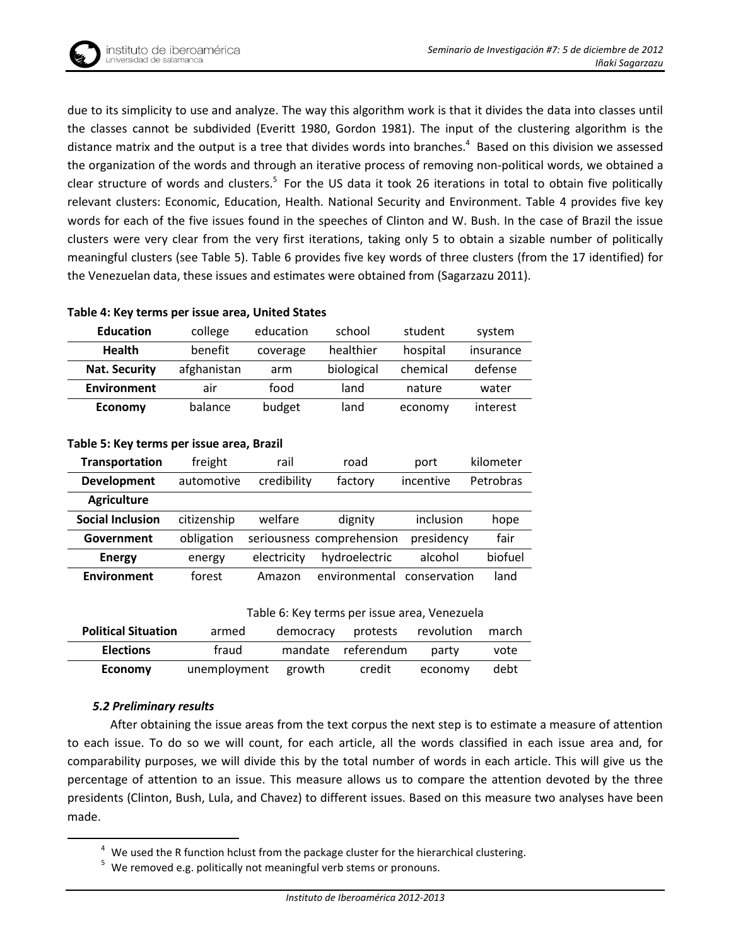due to its simplicity to use and analyze. The way this algorithm work is that it divides the data into classes until the classes cannot be subdivided (Everitt 1980, Gordon 1981). The input of the clustering algorithm is the distance matrix and the output is a tree that divides words into branches. $4$  Based on this division we assessed the organization of the words and through an iterative process of removing non-political words, we obtained a clear structure of words and clusters.<sup>5</sup> For the US data it took 26 iterations in total to obtain five politically relevant clusters: Economic, Education, Health. National Security and Environment. Table 4 provides five key words for each of the five issues found in the speeches of Clinton and W. Bush. In the case of Brazil the issue clusters were very clear from the very first iterations, taking only 5 to obtain a sizable number of politically meaningful clusters (see Table 5). Table 6 provides five key words of three clusters (from the 17 identified) for the Venezuelan data, these issues and estimates were obtained from (Sagarzazu 2011).

|                      | $1.0001$ $0.110$ $0.011110$ $0.011100$ $0.0000$ $0.0010$ $0.00100$ $0.00000$ |                       |            |          |           |  |
|----------------------|------------------------------------------------------------------------------|-----------------------|------------|----------|-----------|--|
| <b>Education</b>     | college<br>education                                                         |                       | school     | student  | system    |  |
| <b>Health</b>        | benefit                                                                      | healthier<br>coverage |            | hospital | insurance |  |
| <b>Nat. Security</b> | afghanistan                                                                  | arm                   | biological | chemical | defense   |  |
| <b>Environment</b>   | food<br>air                                                                  |                       | land       | nature   | water     |  |
| <b>Economy</b>       | balance                                                                      | budget                | land       | economy  | interest  |  |

# **Table 4: Key terms per issue area, United States**

| Table 5: Key terms per issue area, Brazil |  |  |  |  |
|-------------------------------------------|--|--|--|--|
|-------------------------------------------|--|--|--|--|

| <b>Transportation</b>   | freight     | rail        | road                      | port         | kilometer |
|-------------------------|-------------|-------------|---------------------------|--------------|-----------|
| <b>Development</b>      | automotive  | credibility | factory                   | incentive    | Petrobras |
| <b>Agriculture</b>      |             |             |                           |              |           |
| <b>Social Inclusion</b> | citizenship | welfare     | dignity                   | inclusion    | hope      |
| Government              | obligation  |             | seriousness comprehension | presidency   | fair      |
| <b>Energy</b>           | energy      | electricity | hydroelectric             | alcohol      | biofuel   |
| <b>Environment</b>      | forest      | Amazon      | environmental             | conservation | land      |

| Table 6: Key terms per issue area, Venezuela |  |  |
|----------------------------------------------|--|--|
|----------------------------------------------|--|--|

| <b>Political Situation</b> | armed               | democracy | protests revolution |         | march |
|----------------------------|---------------------|-----------|---------------------|---------|-------|
| <b>Elections</b>           | fraud               |           | mandate referendum  | party   | vote  |
| <b>Economy</b>             | unemployment growth |           | credit              | economy | debt  |

#### *5.2 Preliminary results*

1

After obtaining the issue areas from the text corpus the next step is to estimate a measure of attention to each issue. To do so we will count, for each article, all the words classified in each issue area and, for comparability purposes, we will divide this by the total number of words in each article. This will give us the percentage of attention to an issue. This measure allows us to compare the attention devoted by the three presidents (Clinton, Bush, Lula, and Chavez) to different issues. Based on this measure two analyses have been made.

 $4$  We used the R function hclust from the package cluster for the hierarchical clustering.

<sup>5</sup> We removed e.g. politically not meaningful verb stems or pronouns.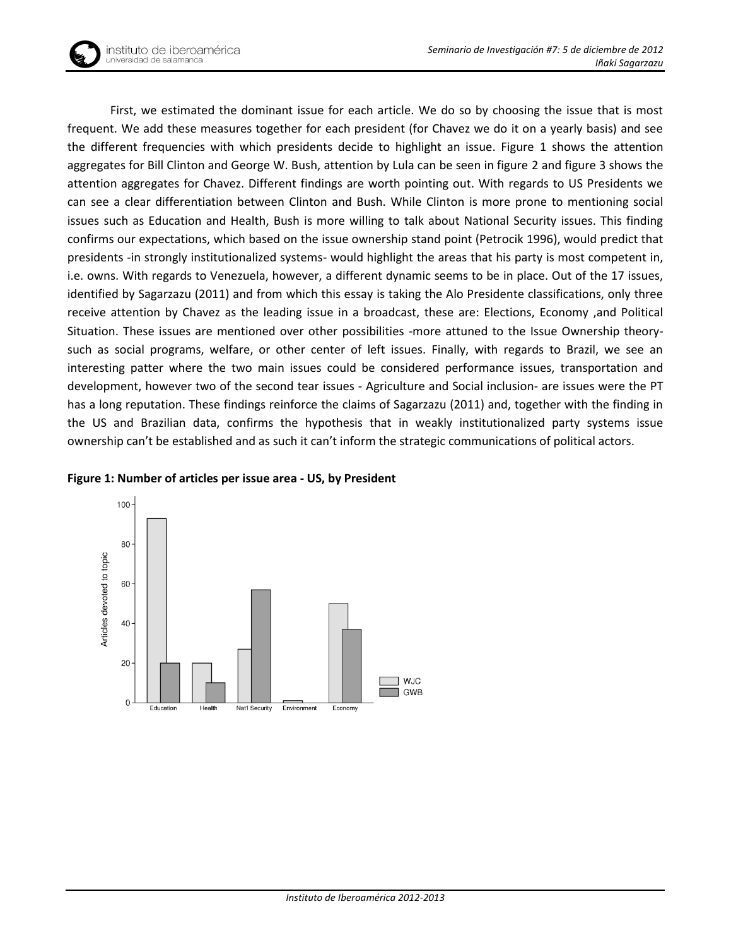

First, we estimated the dominant issue for each article. We do so by choosing the issue that is most frequent. We add these measures together for each president (for Chavez we do it on a yearly basis) and see the different frequencies with which presidents decide to highlight an issue. Figure 1 shows the attention aggregates for Bill Clinton and George W. Bush, attention by Lula can be seen in figure 2 and figure 3 shows the attention aggregates for Chavez. Different findings are worth pointing out. With regards to US Presidents we can see a clear differentiation between Clinton and Bush. While Clinton is more prone to mentioning social issues such as Education and Health, Bush is more willing to talk about National Security issues. This finding confirms our expectations, which based on the issue ownership stand point (Petrocik 1996), would predict that presidents -in strongly institutionalized systems- would highlight the areas that his party is most competent in, i.e. owns. With regards to Venezuela, however, a different dynamic seems to be in place. Out of the 17 issues, identified by Sagarzazu (2011) and from which this essay is taking the Alo Presidente classifications, only three receive attention by Chavez as the leading issue in a broadcast, these are: Elections, Economy ,and Political Situation. These issues are mentioned over other possibilities -more attuned to the Issue Ownership theorysuch as social programs, welfare, or other center of left issues. Finally, with regards to Brazil, we see an interesting patter where the two main issues could be considered performance issues, transportation and development, however two of the second tear issues - Agriculture and Social inclusion- are issues were the PT has a long reputation. These findings reinforce the claims of Sagarzazu (2011) and, together with the finding in the US and Brazilian data, confirms the hypothesis that in weakly institutionalized party systems issue ownership can't be established and as such it can't inform the strategic communications of political actors.



#### **Figure 1: Number of articles per issue area - US, by President**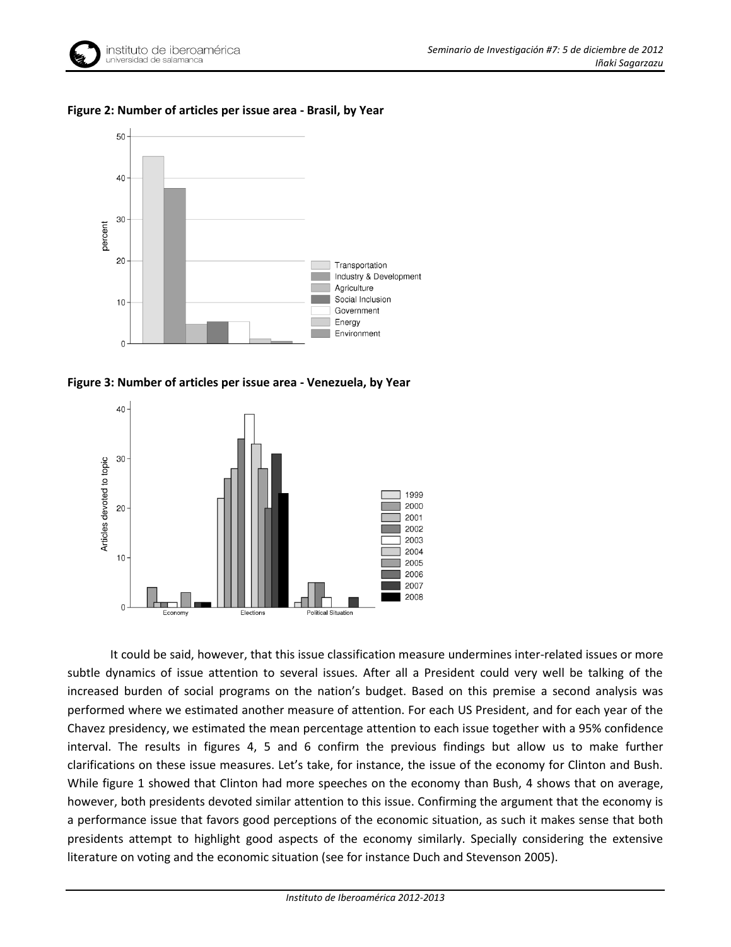

### **Figure 2: Number of articles per issue area - Brasil, by Year**



**Figure 3: Number of articles per issue area - Venezuela, by Year**



It could be said, however, that this issue classification measure undermines inter-related issues or more subtle dynamics of issue attention to several issues. After all a President could very well be talking of the increased burden of social programs on the nation's budget. Based on this premise a second analysis was performed where we estimated another measure of attention. For each US President, and for each year of the Chavez presidency, we estimated the mean percentage attention to each issue together with a 95% confidence interval. The results in figures 4, 5 and 6 confirm the previous findings but allow us to make further clarifications on these issue measures. Let's take, for instance, the issue of the economy for Clinton and Bush. While figure 1 showed that Clinton had more speeches on the economy than Bush, 4 shows that on average, however, both presidents devoted similar attention to this issue. Confirming the argument that the economy is a performance issue that favors good perceptions of the economic situation, as such it makes sense that both presidents attempt to highlight good aspects of the economy similarly. Specially considering the extensive literature on voting and the economic situation (see for instance Duch and Stevenson 2005).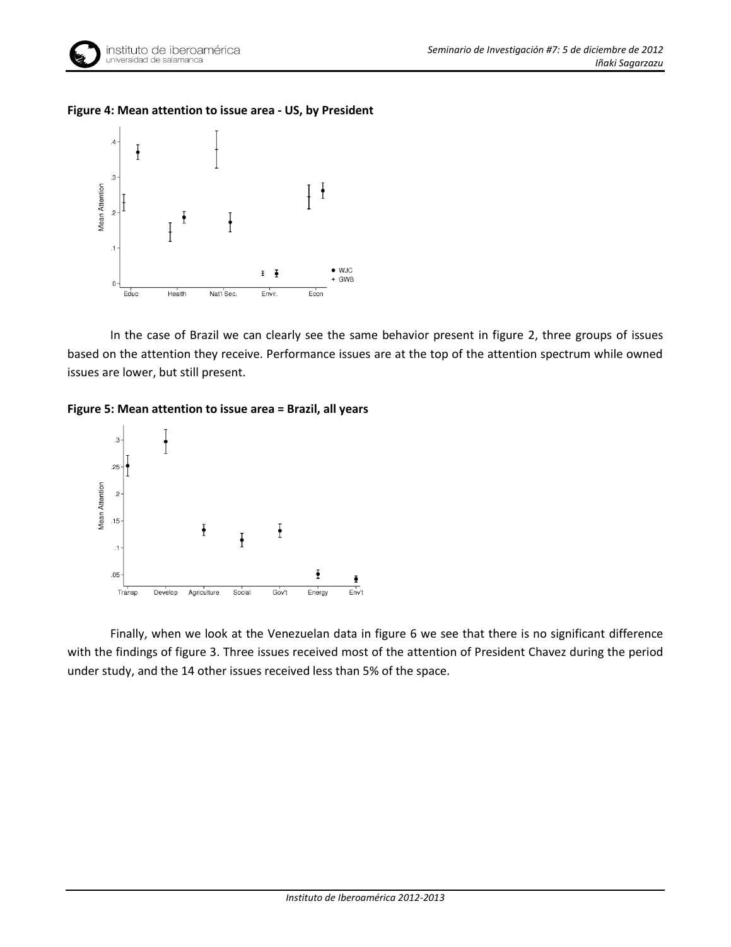

## **Figure 4: Mean attention to issue area - US, by President**



In the case of Brazil we can clearly see the same behavior present in figure 2, three groups of issues based on the attention they receive. Performance issues are at the top of the attention spectrum while owned issues are lower, but still present.

#### **Figure 5: Mean attention to issue area = Brazil, all years**



Finally, when we look at the Venezuelan data in figure 6 we see that there is no significant difference with the findings of figure 3. Three issues received most of the attention of President Chavez during the period under study, and the 14 other issues received less than 5% of the space.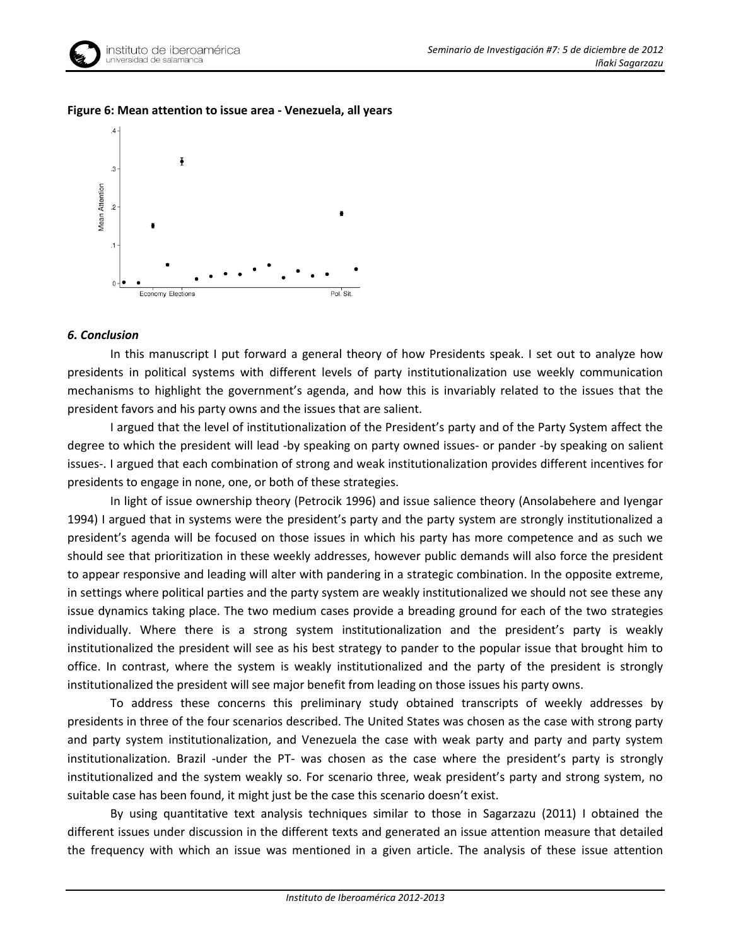



### **Figure 6: Mean attention to issue area - Venezuela, all years**

#### *6. Conclusion*

In this manuscript I put forward a general theory of how Presidents speak. I set out to analyze how presidents in political systems with different levels of party institutionalization use weekly communication mechanisms to highlight the government's agenda, and how this is invariably related to the issues that the president favors and his party owns and the issues that are salient.

I argued that the level of institutionalization of the President's party and of the Party System affect the degree to which the president will lead -by speaking on party owned issues- or pander -by speaking on salient issues-. I argued that each combination of strong and weak institutionalization provides different incentives for presidents to engage in none, one, or both of these strategies.

In light of issue ownership theory (Petrocik 1996) and issue salience theory (Ansolabehere and Iyengar 1994) I argued that in systems were the president's party and the party system are strongly institutionalized a president's agenda will be focused on those issues in which his party has more competence and as such we should see that prioritization in these weekly addresses, however public demands will also force the president to appear responsive and leading will alter with pandering in a strategic combination. In the opposite extreme, in settings where political parties and the party system are weakly institutionalized we should not see these any issue dynamics taking place. The two medium cases provide a breading ground for each of the two strategies individually. Where there is a strong system institutionalization and the president's party is weakly institutionalized the president will see as his best strategy to pander to the popular issue that brought him to office. In contrast, where the system is weakly institutionalized and the party of the president is strongly institutionalized the president will see major benefit from leading on those issues his party owns.

To address these concerns this preliminary study obtained transcripts of weekly addresses by presidents in three of the four scenarios described. The United States was chosen as the case with strong party and party system institutionalization, and Venezuela the case with weak party and party and party system institutionalization. Brazil -under the PT- was chosen as the case where the president's party is strongly institutionalized and the system weakly so. For scenario three, weak president's party and strong system, no suitable case has been found, it might just be the case this scenario doesn't exist.

By using quantitative text analysis techniques similar to those in Sagarzazu (2011) I obtained the different issues under discussion in the different texts and generated an issue attention measure that detailed the frequency with which an issue was mentioned in a given article. The analysis of these issue attention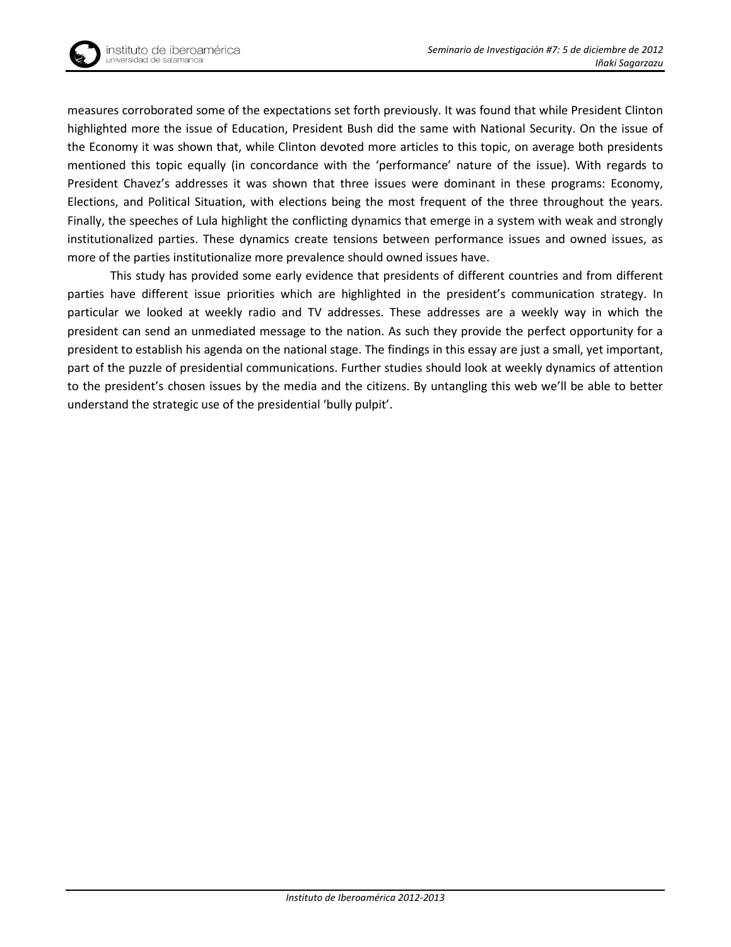

measures corroborated some of the expectations set forth previously. It was found that while President Clinton highlighted more the issue of Education, President Bush did the same with National Security. On the issue of the Economy it was shown that, while Clinton devoted more articles to this topic, on average both presidents mentioned this topic equally (in concordance with the 'performance' nature of the issue). With regards to President Chavez's addresses it was shown that three issues were dominant in these programs: Economy, Elections, and Political Situation, with elections being the most frequent of the three throughout the years. Finally, the speeches of Lula highlight the conflicting dynamics that emerge in a system with weak and strongly institutionalized parties. These dynamics create tensions between performance issues and owned issues, as more of the parties institutionalize more prevalence should owned issues have.

This study has provided some early evidence that presidents of different countries and from different parties have different issue priorities which are highlighted in the president's communication strategy. In particular we looked at weekly radio and TV addresses. These addresses are a weekly way in which the president can send an unmediated message to the nation. As such they provide the perfect opportunity for a president to establish his agenda on the national stage. The findings in this essay are just a small, yet important, part of the puzzle of presidential communications. Further studies should look at weekly dynamics of attention to the president's chosen issues by the media and the citizens. By untangling this web we'll be able to better understand the strategic use of the presidential 'bully pulpit'.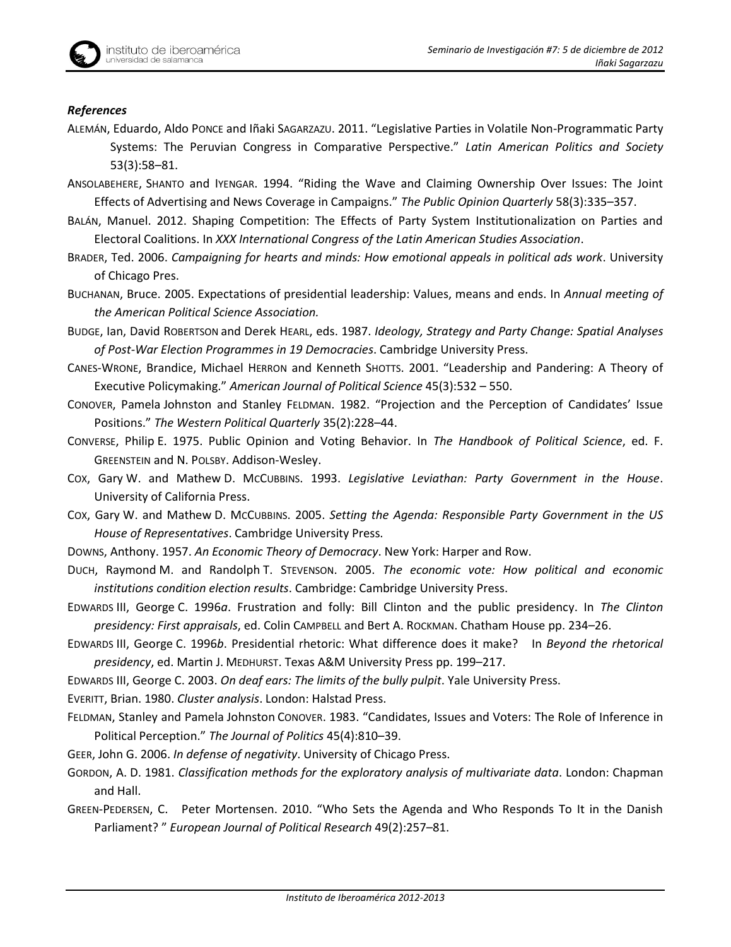## *References*

- ALEMÁN, Eduardo, Aldo PONCE and Iñaki SAGARZAZU. 2011. "Legislative Parties in Volatile Non-Programmatic Party Systems: The Peruvian Congress in Comparative Perspective." *Latin American Politics and Society* 53(3):58–81.
- ANSOLABEHERE, SHANTO and IYENGAR. 1994. "Riding the Wave and Claiming Ownership Over Issues: The Joint Effects of Advertising and News Coverage in Campaigns." *The Public Opinion Quarterly* 58(3):335–357.
- BALÁN, Manuel. 2012. Shaping Competition: The Effects of Party System Institutionalization on Parties and Electoral Coalitions. In *XXX International Congress of the Latin American Studies Association*.
- BRADER, Ted. 2006. *Campaigning for hearts and minds: How emotional appeals in political ads work*. University of Chicago Pres.
- BUCHANAN, Bruce. 2005. Expectations of presidential leadership: Values, means and ends. In *Annual meeting of the American Political Science Association.*
- BUDGE, Ian, David ROBERTSON and Derek HEARL, eds. 1987. *Ideology, Strategy and Party Change: Spatial Analyses of Post-War Election Programmes in 19 Democracies*. Cambridge University Press.
- CANES-WRONE, Brandice, Michael HERRON and Kenneth SHOTTS. 2001. "Leadership and Pandering: A Theory of Executive Policymaking." *American Journal of Political Science* 45(3):532 – 550.
- CONOVER, Pamela Johnston and Stanley FELDMAN. 1982. "Projection and the Perception of Candidates' Issue Positions." *The Western Political Quarterly* 35(2):228–44.
- CONVERSE, Philip E. 1975. Public Opinion and Voting Behavior. In *The Handbook of Political Science*, ed. F. GREENSTEIN and N. POLSBY. Addison-Wesley.
- COX, Gary W. and Mathew D. MCCUBBINS. 1993. *Legislative Leviathan: Party Government in the House*. University of California Press.
- COX, Gary W. and Mathew D. MCCUBBINS. 2005. *Setting the Agenda: Responsible Party Government in the US House of Representatives*. Cambridge University Press.
- DOWNS, Anthony. 1957. *An Economic Theory of Democracy*. New York: Harper and Row.
- DUCH, Raymond M. and Randolph T. STEVENSON. 2005. *The economic vote: How political and economic institutions condition election results*. Cambridge: Cambridge University Press.
- EDWARDS III, George C. 1996*a*. Frustration and folly: Bill Clinton and the public presidency. In *The Clinton presidency: First appraisals*, ed. Colin CAMPBELL and Bert A. ROCKMAN. Chatham House pp. 234–26.
- EDWARDS III, George C. 1996*b*. Presidential rhetoric: What difference does it make? In *Beyond the rhetorical presidency*, ed. Martin J. MEDHURST. Texas A&M University Press pp. 199–217.
- EDWARDS III, George C. 2003. *On deaf ears: The limits of the bully pulpit*. Yale University Press.
- EVERITT, Brian. 1980. *Cluster analysis*. London: Halstad Press.
- FELDMAN, Stanley and Pamela Johnston CONOVER. 1983. "Candidates, Issues and Voters: The Role of Inference in Political Perception." *The Journal of Politics* 45(4):810–39.
- GEER, John G. 2006. *In defense of negativity*. University of Chicago Press.
- GORDON, A. D. 1981. *Classification methods for the exploratory analysis of multivariate data*. London: Chapman and Hall.
- GREEN-PEDERSEN, C. Peter Mortensen. 2010. "Who Sets the Agenda and Who Responds To It in the Danish Parliament? " *European Journal of Political Research* 49(2):257–81.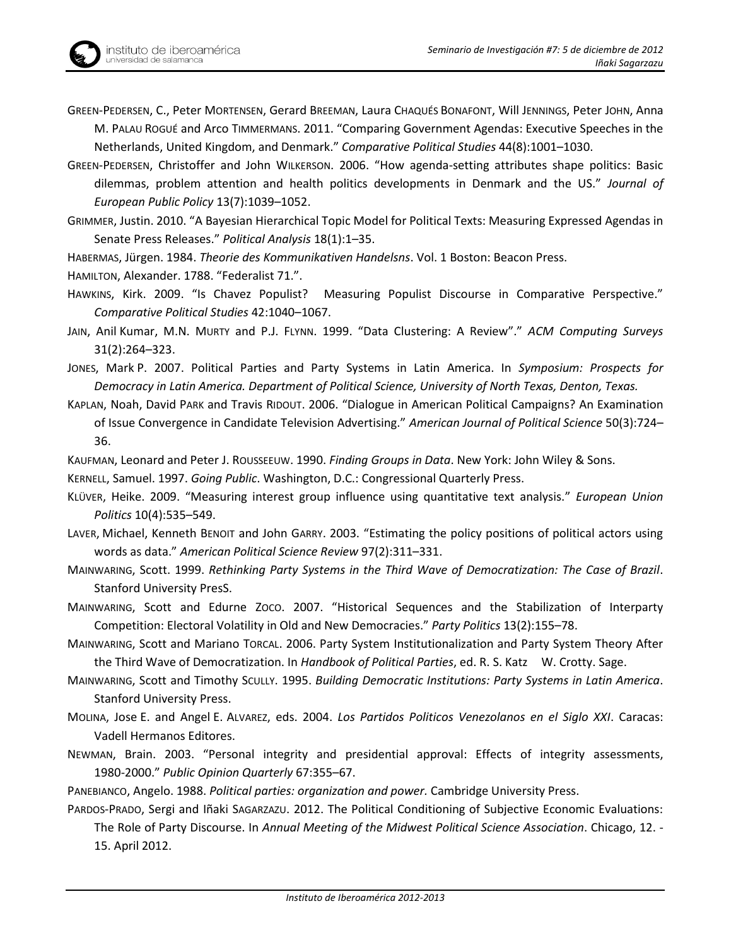

- GREEN-PEDERSEN, Christoffer and John WILKERSON. 2006. "How agenda-setting attributes shape politics: Basic dilemmas, problem attention and health politics developments in Denmark and the US." *Journal of European Public Policy* 13(7):1039–1052.
- GRIMMER, Justin. 2010. "A Bayesian Hierarchical Topic Model for Political Texts: Measuring Expressed Agendas in Senate Press Releases." *Political Analysis* 18(1):1–35.
- HABERMAS, Jürgen. 1984. *Theorie des Kommunikativen Handelsns*. Vol. 1 Boston: Beacon Press.

HAMILTON, Alexander. 1788. "Federalist 71.".

- HAWKINS, Kirk. 2009. "Is Chavez Populist? Measuring Populist Discourse in Comparative Perspective." *Comparative Political Studies* 42:1040–1067.
- JAIN, Anil Kumar, M.N. MURTY and P.J. FLYNN. 1999. "Data Clustering: A Review"." *ACM Computing Surveys* 31(2):264–323.
- JONES, Mark P. 2007. Political Parties and Party Systems in Latin America. In *Symposium: Prospects for Democracy in Latin America. Department of Political Science, University of North Texas, Denton, Texas.*
- KAPLAN, Noah, David PARK and Travis RIDOUT. 2006. "Dialogue in American Political Campaigns? An Examination of Issue Convergence in Candidate Television Advertising." *American Journal of Political Science* 50(3):724– 36.
- KAUFMAN, Leonard and Peter J. ROUSSEEUW. 1990. *Finding Groups in Data*. New York: John Wiley & Sons.

KERNELL, Samuel. 1997. *Going Public*. Washington, D.C.: Congressional Quarterly Press.

- KLÜVER, Heike. 2009. "Measuring interest group influence using quantitative text analysis." *European Union Politics* 10(4):535–549.
- LAVER, Michael, Kenneth BENOIT and John GARRY. 2003. "Estimating the policy positions of political actors using words as data." *American Political Science Review* 97(2):311–331.
- MAINWARING, Scott. 1999. *Rethinking Party Systems in the Third Wave of Democratization: The Case of Brazil*. Stanford University PresS.
- MAINWARING, Scott and Edurne ZOCO. 2007. "Historical Sequences and the Stabilization of Interparty Competition: Electoral Volatility in Old and New Democracies." *Party Politics* 13(2):155–78.
- MAINWARING, Scott and Mariano TORCAL. 2006. Party System Institutionalization and Party System Theory After the Third Wave of Democratization. In *Handbook of Political Parties*, ed. R. S. Katz W. Crotty. Sage.
- MAINWARING, Scott and Timothy SCULLY. 1995. *Building Democratic Institutions: Party Systems in Latin America*. Stanford University Press.
- MOLINA, Jose E. and Angel E. ALVAREZ, eds. 2004. *Los Partidos Politicos Venezolanos en el Siglo XXI*. Caracas: Vadell Hermanos Editores.
- NEWMAN, Brain. 2003. "Personal integrity and presidential approval: Effects of integrity assessments, 1980-2000." *Public Opinion Quarterly* 67:355–67.

PANEBIANCO, Angelo. 1988. *Political parties: organization and power.* Cambridge University Press.

PARDOS-PRADO, Sergi and Iñaki SAGARZAZU. 2012. The Political Conditioning of Subjective Economic Evaluations: The Role of Party Discourse. In *Annual Meeting of the Midwest Political Science Association*. Chicago, 12. - 15. April 2012.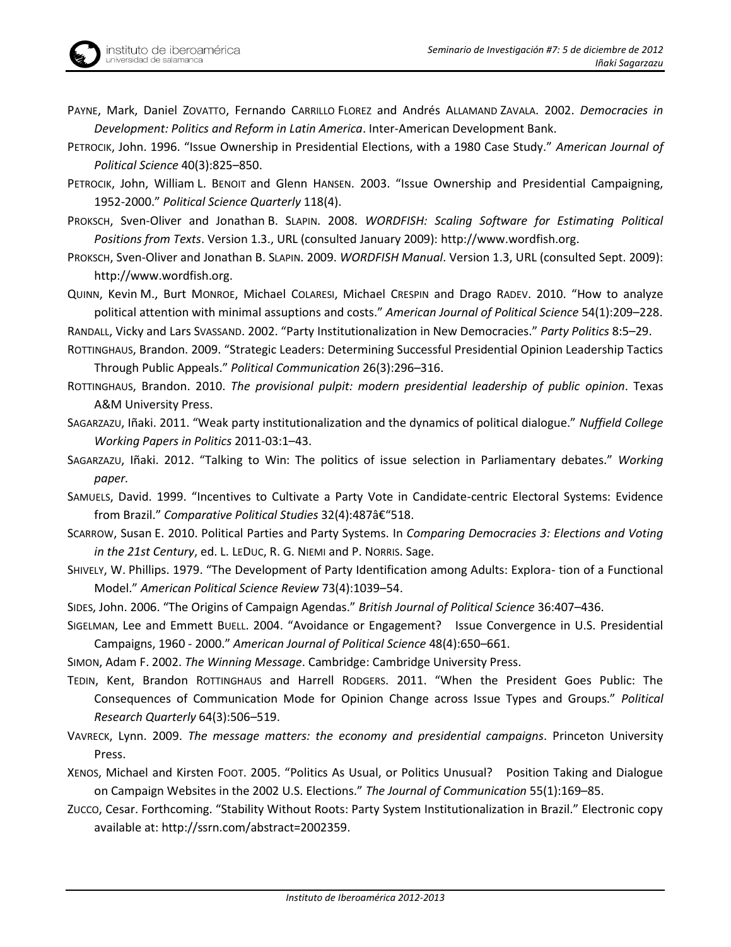- PAYNE, Mark, Daniel ZOVATTO, Fernando CARRILLO FLOREZ and Andrés ALLAMAND ZAVALA. 2002. *Democracies in Development: Politics and Reform in Latin America*. Inter-American Development Bank.
- PETROCIK, John. 1996. "Issue Ownership in Presidential Elections, with a 1980 Case Study." *American Journal of Political Science* 40(3):825–850.
- PETROCIK, John, William L. BENOIT and Glenn HANSEN. 2003. "Issue Ownership and Presidential Campaigning, 1952-2000." *Political Science Quarterly* 118(4).
- PROKSCH, Sven-Oliver and Jonathan B. SLAPIN. 2008. *WORDFISH: Scaling Software for Estimating Political Positions from Texts*. Version 1.3., URL (consulted January 2009): [http://www.wordfish.org.](http://www.wordfish.org/)
- PROKSCH, Sven-Oliver and Jonathan B. SLAPIN. 2009. *WORDFISH Manual*. Version 1.3, URL (consulted Sept. 2009): [http://www.wordfish.org.](http://www.wordfish.org/)

QUINN, Kevin M., Burt MONROE, Michael COLARESI, Michael CRESPIN and Drago RADEV. 2010. "How to analyze political attention with minimal assuptions and costs." *American Journal of Political Science* 54(1):209–228. RANDALL, Vicky and Lars SVASSAND. 2002. "Party Institutionalization in New Democracies." *Party Politics* 8:5–29.

ROTTINGHAUS, Brandon. 2009. "Strategic Leaders: Determining Successful Presidential Opinion Leadership Tactics Through Public Appeals." *Political Communication* 26(3):296–316.

- ROTTINGHAUS, Brandon. 2010. *The provisional pulpit: modern presidential leadership of public opinion*. Texas A&M University Press.
- SAGARZAZU, Iñaki. 2011. "Weak party institutionalization and the dynamics of political dialogue." *Nuffield College Working Papers in Politics* 2011-03:1–43.
- SAGARZAZU, Iñaki. 2012. "Talking to Win: The politics of issue selection in Parliamentary debates." *Working paper.*
- SAMUELS, David. 1999. "Incentives to Cultivate a Party Vote in Candidate-centric Electoral Systems: Evidence from Brazil." Comparative Political Studies 32(4):487â€"518.

SCARROW, Susan E. 2010. Political Parties and Party Systems. In *Comparing Democracies 3: Elections and Voting in the 21st Century*, ed. L. LEDUC, R. G. NIEMI and P. NORRIS. Sage.

- SHIVELY, W. Phillips. 1979. "The Development of Party Identification among Adults: Explora- tion of a Functional Model." *American Political Science Review* 73(4):1039–54.
- SIDES, John. 2006. "The Origins of Campaign Agendas." *British Journal of Political Science* 36:407–436.
- SIGELMAN, Lee and Emmett BUELL. 2004. "Avoidance or Engagement? Issue Convergence in U.S. Presidential Campaigns, 1960 - 2000." *American Journal of Political Science* 48(4):650–661.

SIMON, Adam F. 2002. *The Winning Message*. Cambridge: Cambridge University Press.

- TEDIN, Kent, Brandon ROTTINGHAUS and Harrell RODGERS. 2011. "When the President Goes Public: The Consequences of Communication Mode for Opinion Change across Issue Types and Groups." *Political Research Quarterly* 64(3):506–519.
- VAVRECK, Lynn. 2009. *The message matters: the economy and presidential campaigns*. Princeton University Press.
- XENOS, Michael and Kirsten FOOT. 2005. "Politics As Usual, or Politics Unusual? Position Taking and Dialogue on Campaign Websites in the 2002 U.S. Elections." *The Journal of Communication* 55(1):169–85.
- ZUCCO, Cesar. Forthcoming. "Stability Without Roots: Party System Institutionalization in Brazil." Electronic copy available at: http://ssrn.com/abstract=2002359.